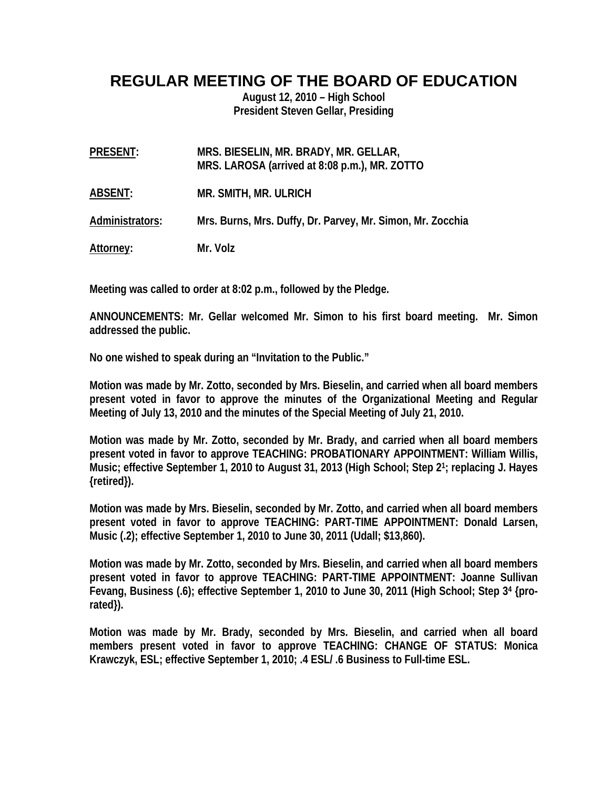# **REGULAR MEETING OF THE BOARD OF EDUCATION**

**August 12, 2010 – High School President Steven Gellar, Presiding** 

| PRESENT:         | MRS. BIESELIN, MR. BRADY, MR. GELLAR,<br>MRS. LAROSA (arrived at 8:08 p.m.), MR. ZOTTO |
|------------------|----------------------------------------------------------------------------------------|
| ABSENT:          | MR. SMITH, MR. ULRICH                                                                  |
| Administrators:  | Mrs. Burns, Mrs. Duffy, Dr. Parvey, Mr. Simon, Mr. Zocchia                             |
| <u>Attorney:</u> | Mr. Volz                                                                               |

**Meeting was called to order at 8:02 p.m., followed by the Pledge.** 

**ANNOUNCEMENTS: Mr. Gellar welcomed Mr. Simon to his first board meeting. Mr. Simon addressed the public.** 

**No one wished to speak during an "Invitation to the Public."** 

**Motion was made by Mr. Zotto, seconded by Mrs. Bieselin, and carried when all board members present voted in favor to approve the minutes of the Organizational Meeting and Regular Meeting of July 13, 2010 and the minutes of the Special Meeting of July 21, 2010.** 

**Motion was made by Mr. Zotto, seconded by Mr. Brady, and carried when all board members present voted in favor to approve TEACHING: PROBATIONARY APPOINTMENT: William Willis, Music; effective September 1, 2010 to August 31, 2013 (High School; Step 21; replacing J. Hayes {retired}).** 

**Motion was made by Mrs. Bieselin, seconded by Mr. Zotto, and carried when all board members present voted in favor to approve TEACHING: PART-TIME APPOINTMENT: Donald Larsen, Music (.2); effective September 1, 2010 to June 30, 2011 (Udall; \$13,860).** 

**Motion was made by Mr. Zotto, seconded by Mrs. Bieselin, and carried when all board members present voted in favor to approve TEACHING: PART-TIME APPOINTMENT: Joanne Sullivan Fevang, Business (.6); effective September 1, 2010 to June 30, 2011 (High School; Step 34 {prorated}).** 

**Motion was made by Mr. Brady, seconded by Mrs. Bieselin, and carried when all board members present voted in favor to approve TEACHING: CHANGE OF STATUS: Monica Krawczyk, ESL; effective September 1, 2010; .4 ESL/ .6 Business to Full-time ESL.**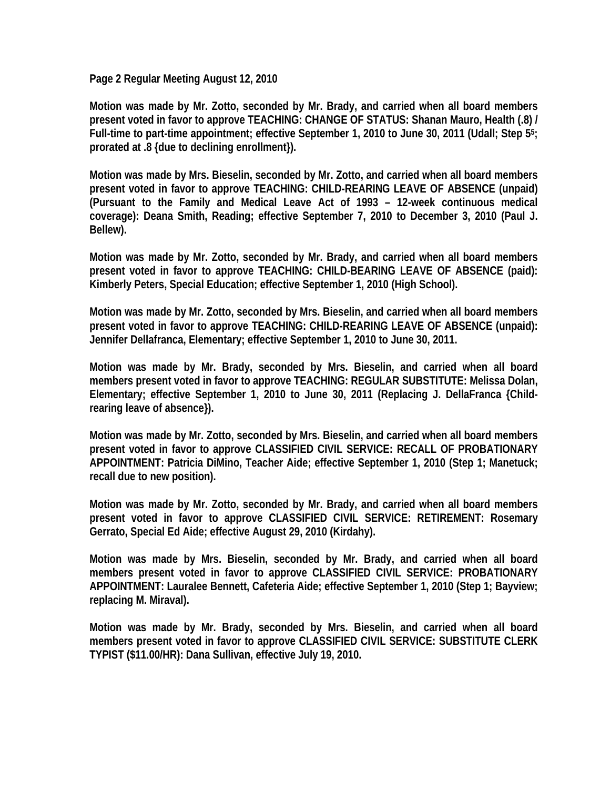**Page 2 Regular Meeting August 12, 2010** 

**Motion was made by Mr. Zotto, seconded by Mr. Brady, and carried when all board members present voted in favor to approve TEACHING: CHANGE OF STATUS: Shanan Mauro, Health (.8) / Full-time to part-time appointment; effective September 1, 2010 to June 30, 2011 (Udall; Step 55; prorated at .8 {due to declining enrollment}).** 

**Motion was made by Mrs. Bieselin, seconded by Mr. Zotto, and carried when all board members present voted in favor to approve TEACHING: CHILD-REARING LEAVE OF ABSENCE (unpaid) (Pursuant to the Family and Medical Leave Act of 1993 – 12-week continuous medical coverage): Deana Smith, Reading; effective September 7, 2010 to December 3, 2010 (Paul J. Bellew).** 

**Motion was made by Mr. Zotto, seconded by Mr. Brady, and carried when all board members present voted in favor to approve TEACHING: CHILD-BEARING LEAVE OF ABSENCE (paid): Kimberly Peters, Special Education; effective September 1, 2010 (High School).** 

**Motion was made by Mr. Zotto, seconded by Mrs. Bieselin, and carried when all board members present voted in favor to approve TEACHING: CHILD-REARING LEAVE OF ABSENCE (unpaid): Jennifer Dellafranca, Elementary; effective September 1, 2010 to June 30, 2011.** 

**Motion was made by Mr. Brady, seconded by Mrs. Bieselin, and carried when all board members present voted in favor to approve TEACHING: REGULAR SUBSTITUTE: Melissa Dolan, Elementary; effective September 1, 2010 to June 30, 2011 (Replacing J. DellaFranca {Childrearing leave of absence}).** 

**Motion was made by Mr. Zotto, seconded by Mrs. Bieselin, and carried when all board members present voted in favor to approve CLASSIFIED CIVIL SERVICE: RECALL OF PROBATIONARY APPOINTMENT: Patricia DiMino, Teacher Aide; effective September 1, 2010 (Step 1; Manetuck; recall due to new position).** 

**Motion was made by Mr. Zotto, seconded by Mr. Brady, and carried when all board members present voted in favor to approve CLASSIFIED CIVIL SERVICE: RETIREMENT: Rosemary Gerrato, Special Ed Aide; effective August 29, 2010 (Kirdahy).** 

**Motion was made by Mrs. Bieselin, seconded by Mr. Brady, and carried when all board members present voted in favor to approve CLASSIFIED CIVIL SERVICE: PROBATIONARY APPOINTMENT: Lauralee Bennett, Cafeteria Aide; effective September 1, 2010 (Step 1; Bayview; replacing M. Miraval).** 

**Motion was made by Mr. Brady, seconded by Mrs. Bieselin, and carried when all board members present voted in favor to approve CLASSIFIED CIVIL SERVICE: SUBSTITUTE CLERK TYPIST (\$11.00/HR): Dana Sullivan, effective July 19, 2010.**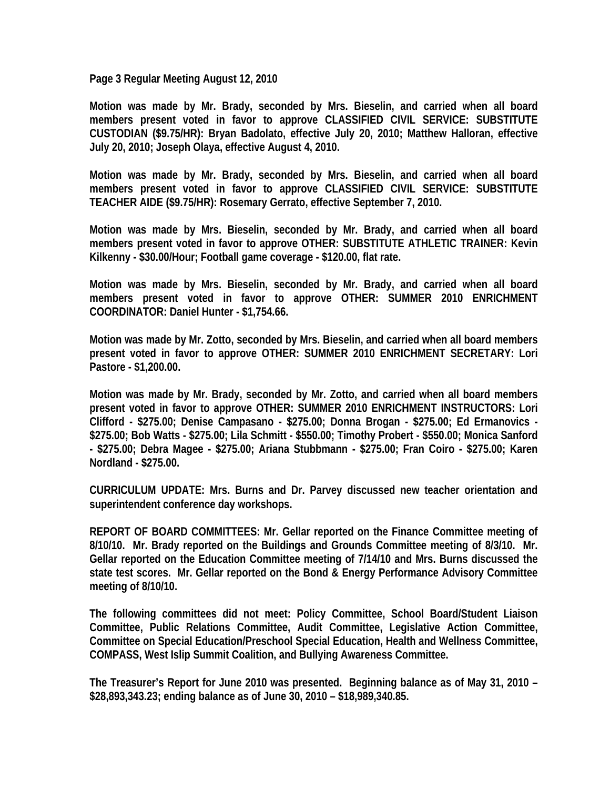**Page 3 Regular Meeting August 12, 2010** 

**Motion was made by Mr. Brady, seconded by Mrs. Bieselin, and carried when all board members present voted in favor to approve CLASSIFIED CIVIL SERVICE: SUBSTITUTE CUSTODIAN (\$9.75/HR): Bryan Badolato, effective July 20, 2010; Matthew Halloran, effective July 20, 2010; Joseph Olaya, effective August 4, 2010.** 

**Motion was made by Mr. Brady, seconded by Mrs. Bieselin, and carried when all board members present voted in favor to approve CLASSIFIED CIVIL SERVICE: SUBSTITUTE TEACHER AIDE (\$9.75/HR): Rosemary Gerrato, effective September 7, 2010.** 

**Motion was made by Mrs. Bieselin, seconded by Mr. Brady, and carried when all board members present voted in favor to approve OTHER: SUBSTITUTE ATHLETIC TRAINER: Kevin Kilkenny - \$30.00/Hour; Football game coverage - \$120.00, flat rate.** 

**Motion was made by Mrs. Bieselin, seconded by Mr. Brady, and carried when all board members present voted in favor to approve OTHER: SUMMER 2010 ENRICHMENT COORDINATOR: Daniel Hunter - \$1,754.66.** 

**Motion was made by Mr. Zotto, seconded by Mrs. Bieselin, and carried when all board members present voted in favor to approve OTHER: SUMMER 2010 ENRICHMENT SECRETARY: Lori Pastore - \$1,200.00.** 

**Motion was made by Mr. Brady, seconded by Mr. Zotto, and carried when all board members present voted in favor to approve OTHER: SUMMER 2010 ENRICHMENT INSTRUCTORS: Lori Clifford - \$275.00; Denise Campasano - \$275.00; Donna Brogan - \$275.00; Ed Ermanovics - \$275.00; Bob Watts - \$275.00; Lila Schmitt - \$550.00; Timothy Probert - \$550.00; Monica Sanford - \$275.00; Debra Magee - \$275.00; Ariana Stubbmann - \$275.00; Fran Coiro - \$275.00; Karen Nordland - \$275.00.** 

**CURRICULUM UPDATE: Mrs. Burns and Dr. Parvey discussed new teacher orientation and superintendent conference day workshops.** 

**REPORT OF BOARD COMMITTEES: Mr. Gellar reported on the Finance Committee meeting of 8/10/10. Mr. Brady reported on the Buildings and Grounds Committee meeting of 8/3/10. Mr. Gellar reported on the Education Committee meeting of 7/14/10 and Mrs. Burns discussed the state test scores. Mr. Gellar reported on the Bond & Energy Performance Advisory Committee meeting of 8/10/10.** 

**The following committees did not meet: Policy Committee, School Board/Student Liaison Committee, Public Relations Committee, Audit Committee, Legislative Action Committee, Committee on Special Education/Preschool Special Education, Health and Wellness Committee, COMPASS, West Islip Summit Coalition, and Bullying Awareness Committee.** 

**The Treasurer's Report for June 2010 was presented. Beginning balance as of May 31, 2010 – \$28,893,343.23; ending balance as of June 30, 2010 – \$18,989,340.85.**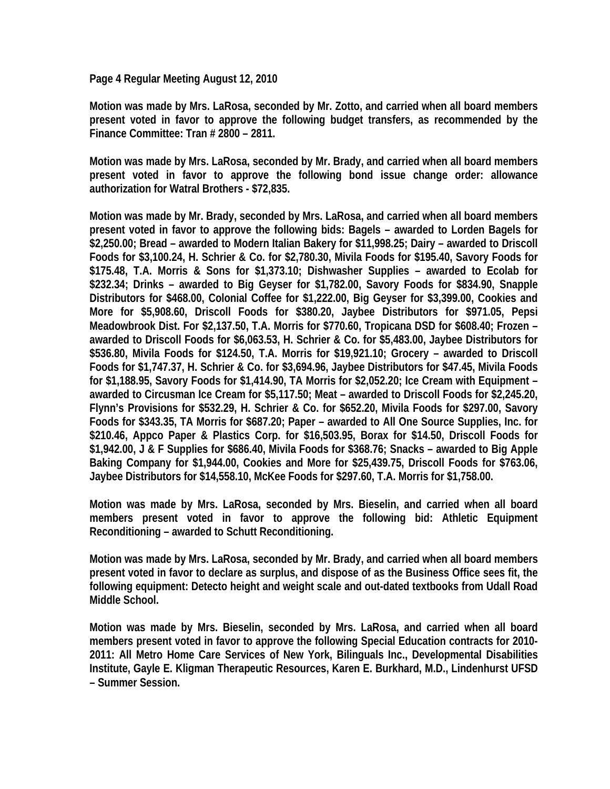**Page 4 Regular Meeting August 12, 2010** 

**Motion was made by Mrs. LaRosa, seconded by Mr. Zotto, and carried when all board members present voted in favor to approve the following budget transfers, as recommended by the Finance Committee: Tran # 2800 – 2811.** 

**Motion was made by Mrs. LaRosa, seconded by Mr. Brady, and carried when all board members present voted in favor to approve the following bond issue change order: allowance authorization for Watral Brothers - \$72,835.** 

**Motion was made by Mr. Brady, seconded by Mrs. LaRosa, and carried when all board members present voted in favor to approve the following bids: Bagels – awarded to Lorden Bagels for \$2,250.00; Bread – awarded to Modern Italian Bakery for \$11,998.25; Dairy – awarded to Driscoll Foods for \$3,100.24, H. Schrier & Co. for \$2,780.30, Mivila Foods for \$195.40, Savory Foods for \$175.48, T.A. Morris & Sons for \$1,373.10; Dishwasher Supplies – awarded to Ecolab for \$232.34; Drinks – awarded to Big Geyser for \$1,782.00, Savory Foods for \$834.90, Snapple Distributors for \$468.00, Colonial Coffee for \$1,222.00, Big Geyser for \$3,399.00, Cookies and More for \$5,908.60, Driscoll Foods for \$380.20, Jaybee Distributors for \$971.05, Pepsi Meadowbrook Dist. For \$2,137.50, T.A. Morris for \$770.60, Tropicana DSD for \$608.40; Frozen – awarded to Driscoll Foods for \$6,063.53, H. Schrier & Co. for \$5,483.00, Jaybee Distributors for \$536.80, Mivila Foods for \$124.50, T.A. Morris for \$19,921.10; Grocery – awarded to Driscoll Foods for \$1,747.37, H. Schrier & Co. for \$3,694.96, Jaybee Distributors for \$47.45, Mivila Foods for \$1,188.95, Savory Foods for \$1,414.90, TA Morris for \$2,052.20; Ice Cream with Equipment – awarded to Circusman Ice Cream for \$5,117.50; Meat – awarded to Driscoll Foods for \$2,245.20, Flynn's Provisions for \$532.29, H. Schrier & Co. for \$652.20, Mivila Foods for \$297.00, Savory Foods for \$343.35, TA Morris for \$687.20; Paper – awarded to All One Source Supplies, Inc. for \$210.46, Appco Paper & Plastics Corp. for \$16,503.95, Borax for \$14.50, Driscoll Foods for \$1,942.00, J & F Supplies for \$686.40, Mivila Foods for \$368.76; Snacks – awarded to Big Apple Baking Company for \$1,944.00, Cookies and More for \$25,439.75, Driscoll Foods for \$763.06, Jaybee Distributors for \$14,558.10, McKee Foods for \$297.60, T.A. Morris for \$1,758.00.** 

**Motion was made by Mrs. LaRosa, seconded by Mrs. Bieselin, and carried when all board members present voted in favor to approve the following bid: Athletic Equipment Reconditioning – awarded to Schutt Reconditioning.** 

**Motion was made by Mrs. LaRosa, seconded by Mr. Brady, and carried when all board members present voted in favor to declare as surplus, and dispose of as the Business Office sees fit, the following equipment: Detecto height and weight scale and out-dated textbooks from Udall Road Middle School.** 

**Motion was made by Mrs. Bieselin, seconded by Mrs. LaRosa, and carried when all board members present voted in favor to approve the following Special Education contracts for 2010- 2011: All Metro Home Care Services of New York, Bilinguals Inc., Developmental Disabilities Institute, Gayle E. Kligman Therapeutic Resources, Karen E. Burkhard, M.D., Lindenhurst UFSD – Summer Session.**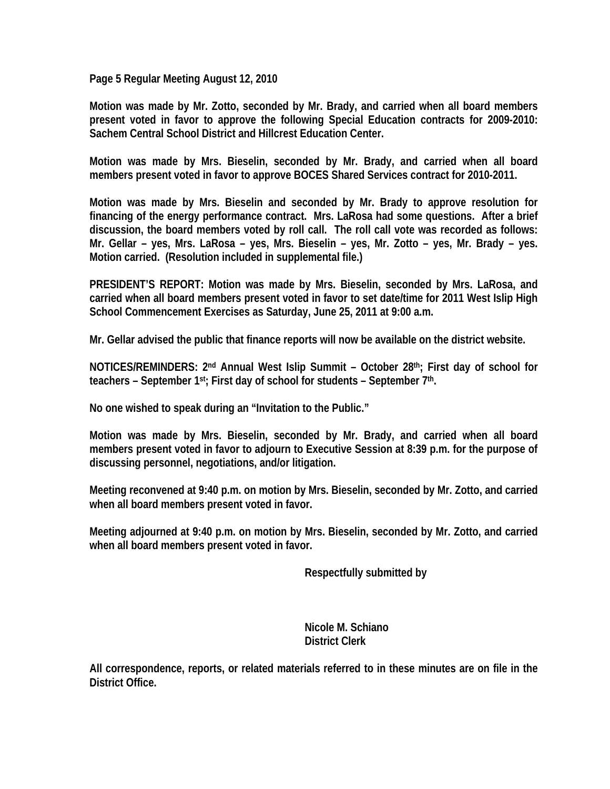**Page 5 Regular Meeting August 12, 2010** 

**Motion was made by Mr. Zotto, seconded by Mr. Brady, and carried when all board members present voted in favor to approve the following Special Education contracts for 2009-2010: Sachem Central School District and Hillcrest Education Center.** 

**Motion was made by Mrs. Bieselin, seconded by Mr. Brady, and carried when all board members present voted in favor to approve BOCES Shared Services contract for 2010-2011.** 

**Motion was made by Mrs. Bieselin and seconded by Mr. Brady to approve resolution for financing of the energy performance contract. Mrs. LaRosa had some questions. After a brief discussion, the board members voted by roll call. The roll call vote was recorded as follows: Mr. Gellar – yes, Mrs. LaRosa – yes, Mrs. Bieselin – yes, Mr. Zotto – yes, Mr. Brady – yes. Motion carried. (Resolution included in supplemental file.)** 

**PRESIDENT'S REPORT: Motion was made by Mrs. Bieselin, seconded by Mrs. LaRosa, and carried when all board members present voted in favor to set date/time for 2011 West Islip High School Commencement Exercises as Saturday, June 25, 2011 at 9:00 a.m.** 

**Mr. Gellar advised the public that finance reports will now be available on the district website.** 

**NOTICES/REMINDERS: 2nd Annual West Islip Summit – October 28th; First day of school for teachers – September 1st; First day of school for students – September 7th.** 

**No one wished to speak during an "Invitation to the Public."** 

**Motion was made by Mrs. Bieselin, seconded by Mr. Brady, and carried when all board members present voted in favor to adjourn to Executive Session at 8:39 p.m. for the purpose of discussing personnel, negotiations, and/or litigation.** 

**Meeting reconvened at 9:40 p.m. on motion by Mrs. Bieselin, seconded by Mr. Zotto, and carried when all board members present voted in favor.** 

**Meeting adjourned at 9:40 p.m. on motion by Mrs. Bieselin, seconded by Mr. Zotto, and carried when all board members present voted in favor.** 

 **Respectfully submitted by** 

 **Nicole M. Schiano District Clerk** 

**All correspondence, reports, or related materials referred to in these minutes are on file in the District Office.**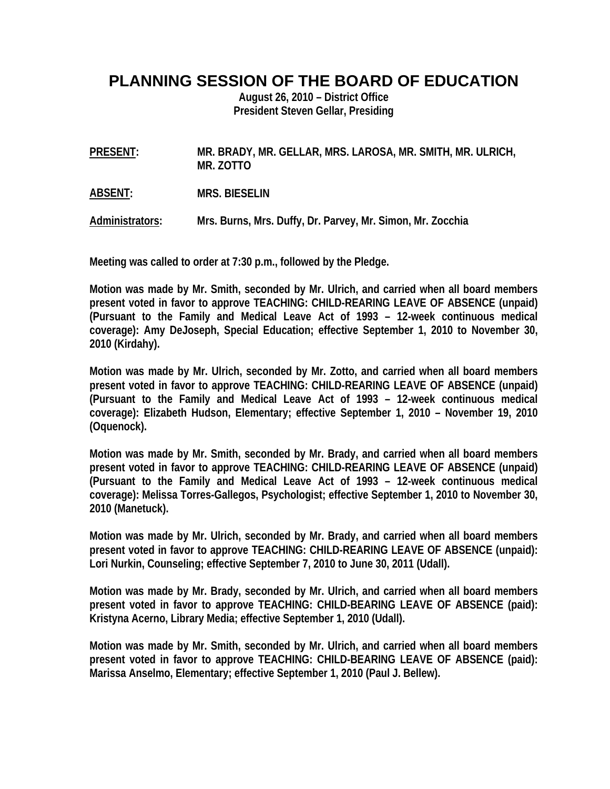# **PLANNING SESSION OF THE BOARD OF EDUCATION**

**August 26, 2010 – District Office President Steven Gellar, Presiding** 

**PRESENT: MR. BRADY, MR. GELLAR, MRS. LAROSA, MR. SMITH, MR. ULRICH, MR. ZOTTO** 

**ABSENT: MRS. BIESELIN** 

**Administrators: Mrs. Burns, Mrs. Duffy, Dr. Parvey, Mr. Simon, Mr. Zocchia** 

**Meeting was called to order at 7:30 p.m., followed by the Pledge.** 

**Motion was made by Mr. Smith, seconded by Mr. Ulrich, and carried when all board members present voted in favor to approve TEACHING: CHILD-REARING LEAVE OF ABSENCE (unpaid) (Pursuant to the Family and Medical Leave Act of 1993 – 12-week continuous medical coverage): Amy DeJoseph, Special Education; effective September 1, 2010 to November 30, 2010 (Kirdahy).** 

**Motion was made by Mr. Ulrich, seconded by Mr. Zotto, and carried when all board members present voted in favor to approve TEACHING: CHILD-REARING LEAVE OF ABSENCE (unpaid) (Pursuant to the Family and Medical Leave Act of 1993 – 12-week continuous medical coverage): Elizabeth Hudson, Elementary; effective September 1, 2010 – November 19, 2010 (Oquenock).** 

**Motion was made by Mr. Smith, seconded by Mr. Brady, and carried when all board members present voted in favor to approve TEACHING: CHILD-REARING LEAVE OF ABSENCE (unpaid) (Pursuant to the Family and Medical Leave Act of 1993 – 12-week continuous medical coverage): Melissa Torres-Gallegos, Psychologist; effective September 1, 2010 to November 30, 2010 (Manetuck).** 

**Motion was made by Mr. Ulrich, seconded by Mr. Brady, and carried when all board members present voted in favor to approve TEACHING: CHILD-REARING LEAVE OF ABSENCE (unpaid): Lori Nurkin, Counseling; effective September 7, 2010 to June 30, 2011 (Udall).** 

**Motion was made by Mr. Brady, seconded by Mr. Ulrich, and carried when all board members present voted in favor to approve TEACHING: CHILD-BEARING LEAVE OF ABSENCE (paid): Kristyna Acerno, Library Media; effective September 1, 2010 (Udall).** 

**Motion was made by Mr. Smith, seconded by Mr. Ulrich, and carried when all board members present voted in favor to approve TEACHING: CHILD-BEARING LEAVE OF ABSENCE (paid): Marissa Anselmo, Elementary; effective September 1, 2010 (Paul J. Bellew).**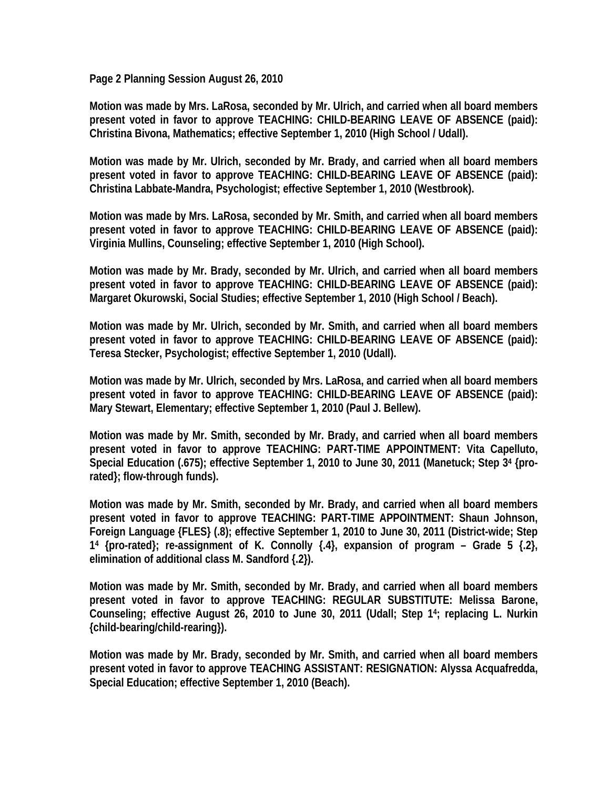**Page 2 Planning Session August 26, 2010** 

**Motion was made by Mrs. LaRosa, seconded by Mr. Ulrich, and carried when all board members present voted in favor to approve TEACHING: CHILD-BEARING LEAVE OF ABSENCE (paid): Christina Bivona, Mathematics; effective September 1, 2010 (High School / Udall).** 

**Motion was made by Mr. Ulrich, seconded by Mr. Brady, and carried when all board members present voted in favor to approve TEACHING: CHILD-BEARING LEAVE OF ABSENCE (paid): Christina Labbate-Mandra, Psychologist; effective September 1, 2010 (Westbrook).** 

**Motion was made by Mrs. LaRosa, seconded by Mr. Smith, and carried when all board members present voted in favor to approve TEACHING: CHILD-BEARING LEAVE OF ABSENCE (paid): Virginia Mullins, Counseling; effective September 1, 2010 (High School).** 

**Motion was made by Mr. Brady, seconded by Mr. Ulrich, and carried when all board members present voted in favor to approve TEACHING: CHILD-BEARING LEAVE OF ABSENCE (paid): Margaret Okurowski, Social Studies; effective September 1, 2010 (High School / Beach).** 

**Motion was made by Mr. Ulrich, seconded by Mr. Smith, and carried when all board members present voted in favor to approve TEACHING: CHILD-BEARING LEAVE OF ABSENCE (paid): Teresa Stecker, Psychologist; effective September 1, 2010 (Udall).** 

**Motion was made by Mr. Ulrich, seconded by Mrs. LaRosa, and carried when all board members present voted in favor to approve TEACHING: CHILD-BEARING LEAVE OF ABSENCE (paid): Mary Stewart, Elementary; effective September 1, 2010 (Paul J. Bellew).** 

**Motion was made by Mr. Smith, seconded by Mr. Brady, and carried when all board members present voted in favor to approve TEACHING: PART-TIME APPOINTMENT: Vita Capelluto, Special Education (.675); effective September 1, 2010 to June 30, 2011 (Manetuck; Step 34 {prorated}; flow-through funds).** 

**Motion was made by Mr. Smith, seconded by Mr. Brady, and carried when all board members present voted in favor to approve TEACHING: PART-TIME APPOINTMENT: Shaun Johnson, Foreign Language {FLES} (.8); effective September 1, 2010 to June 30, 2011 (District-wide; Step 14 {pro-rated}; re-assignment of K. Connolly {.4}, expansion of program – Grade 5 {.2}, elimination of additional class M. Sandford {.2}).** 

**Motion was made by Mr. Smith, seconded by Mr. Brady, and carried when all board members present voted in favor to approve TEACHING: REGULAR SUBSTITUTE: Melissa Barone, Counseling; effective August 26, 2010 to June 30, 2011 (Udall; Step 14; replacing L. Nurkin {child-bearing/child-rearing}).** 

**Motion was made by Mr. Brady, seconded by Mr. Smith, and carried when all board members present voted in favor to approve TEACHING ASSISTANT: RESIGNATION: Alyssa Acquafredda, Special Education; effective September 1, 2010 (Beach).**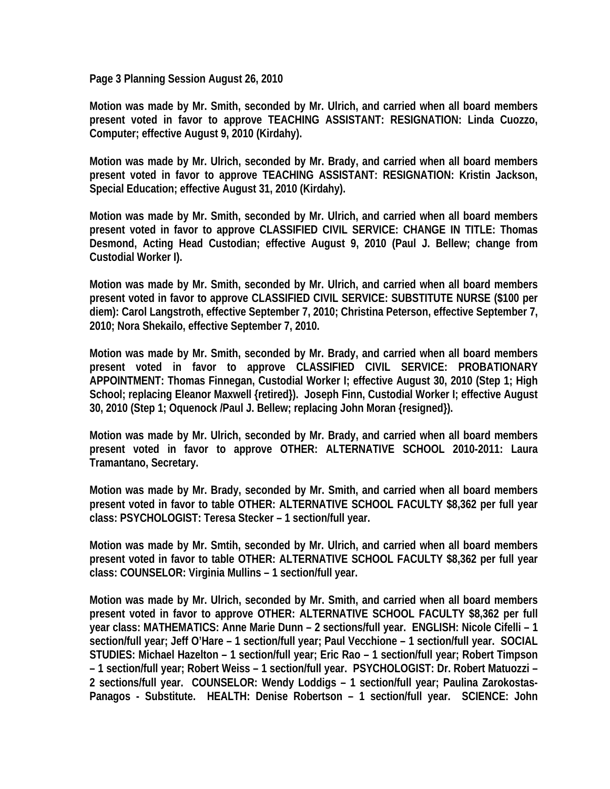**Page 3 Planning Session August 26, 2010** 

**Motion was made by Mr. Smith, seconded by Mr. Ulrich, and carried when all board members present voted in favor to approve TEACHING ASSISTANT: RESIGNATION: Linda Cuozzo, Computer; effective August 9, 2010 (Kirdahy).** 

**Motion was made by Mr. Ulrich, seconded by Mr. Brady, and carried when all board members present voted in favor to approve TEACHING ASSISTANT: RESIGNATION: Kristin Jackson, Special Education; effective August 31, 2010 (Kirdahy).** 

**Motion was made by Mr. Smith, seconded by Mr. Ulrich, and carried when all board members present voted in favor to approve CLASSIFIED CIVIL SERVICE: CHANGE IN TITLE: Thomas Desmond, Acting Head Custodian; effective August 9, 2010 (Paul J. Bellew; change from Custodial Worker I).** 

**Motion was made by Mr. Smith, seconded by Mr. Ulrich, and carried when all board members present voted in favor to approve CLASSIFIED CIVIL SERVICE: SUBSTITUTE NURSE (\$100 per diem): Carol Langstroth, effective September 7, 2010; Christina Peterson, effective September 7, 2010; Nora Shekailo, effective September 7, 2010.** 

**Motion was made by Mr. Smith, seconded by Mr. Brady, and carried when all board members present voted in favor to approve CLASSIFIED CIVIL SERVICE: PROBATIONARY APPOINTMENT: Thomas Finnegan, Custodial Worker I; effective August 30, 2010 (Step 1; High School; replacing Eleanor Maxwell {retired}). Joseph Finn, Custodial Worker I; effective August 30, 2010 (Step 1; Oquenock /Paul J. Bellew; replacing John Moran {resigned}).** 

**Motion was made by Mr. Ulrich, seconded by Mr. Brady, and carried when all board members present voted in favor to approve OTHER: ALTERNATIVE SCHOOL 2010-2011: Laura Tramantano, Secretary.** 

**Motion was made by Mr. Brady, seconded by Mr. Smith, and carried when all board members present voted in favor to table OTHER: ALTERNATIVE SCHOOL FACULTY \$8,362 per full year class: PSYCHOLOGIST: Teresa Stecker – 1 section/full year.** 

**Motion was made by Mr. Smtih, seconded by Mr. Ulrich, and carried when all board members present voted in favor to table OTHER: ALTERNATIVE SCHOOL FACULTY \$8,362 per full year class: COUNSELOR: Virginia Mullins – 1 section/full year.** 

**Motion was made by Mr. Ulrich, seconded by Mr. Smith, and carried when all board members present voted in favor to approve OTHER: ALTERNATIVE SCHOOL FACULTY \$8,362 per full year class: MATHEMATICS: Anne Marie Dunn – 2 sections/full year. ENGLISH: Nicole Cifelli – 1 section/full year; Jeff O'Hare – 1 section/full year; Paul Vecchione – 1 section/full year. SOCIAL STUDIES: Michael Hazelton – 1 section/full year; Eric Rao – 1 section/full year; Robert Timpson – 1 section/full year; Robert Weiss – 1 section/full year. PSYCHOLOGIST: Dr. Robert Matuozzi – 2 sections/full year. COUNSELOR: Wendy Loddigs – 1 section/full year; Paulina Zarokostas-Panagos - Substitute. HEALTH: Denise Robertson – 1 section/full year. SCIENCE: John**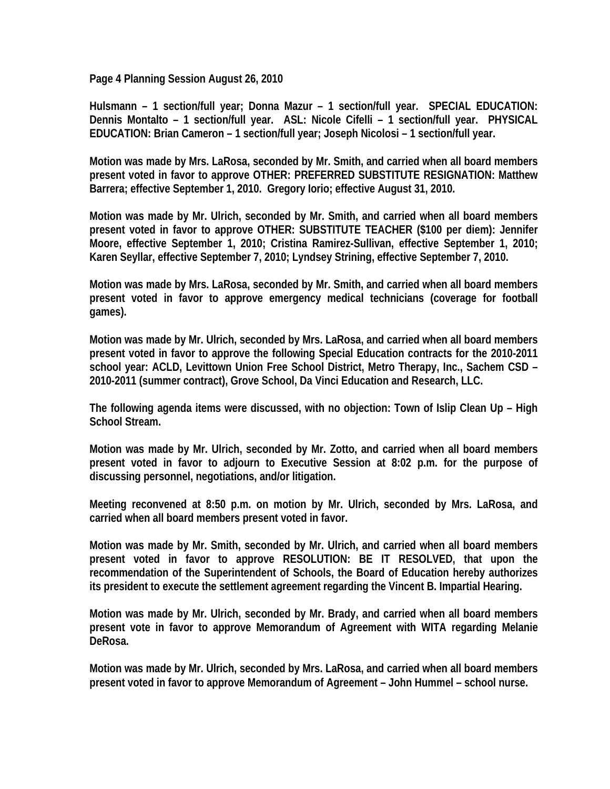**Page 4 Planning Session August 26, 2010** 

**Hulsmann – 1 section/full year; Donna Mazur – 1 section/full year. SPECIAL EDUCATION: Dennis Montalto – 1 section/full year. ASL: Nicole Cifelli – 1 section/full year. PHYSICAL EDUCATION: Brian Cameron – 1 section/full year; Joseph Nicolosi – 1 section/full year.** 

**Motion was made by Mrs. LaRosa, seconded by Mr. Smith, and carried when all board members present voted in favor to approve OTHER: PREFERRED SUBSTITUTE RESIGNATION: Matthew Barrera; effective September 1, 2010. Gregory Iorio; effective August 31, 2010.** 

**Motion was made by Mr. Ulrich, seconded by Mr. Smith, and carried when all board members present voted in favor to approve OTHER: SUBSTITUTE TEACHER (\$100 per diem): Jennifer Moore, effective September 1, 2010; Cristina Ramirez-Sullivan, effective September 1, 2010; Karen Seyllar, effective September 7, 2010; Lyndsey Strining, effective September 7, 2010.**

**Motion was made by Mrs. LaRosa, seconded by Mr. Smith, and carried when all board members present voted in favor to approve emergency medical technicians (coverage for football games).** 

**Motion was made by Mr. Ulrich, seconded by Mrs. LaRosa, and carried when all board members present voted in favor to approve the following Special Education contracts for the 2010-2011 school year: ACLD, Levittown Union Free School District, Metro Therapy, Inc., Sachem CSD – 2010-2011 (summer contract), Grove School, Da Vinci Education and Research, LLC.** 

**The following agenda items were discussed, with no objection: Town of Islip Clean Up – High School Stream.** 

**Motion was made by Mr. Ulrich, seconded by Mr. Zotto, and carried when all board members present voted in favor to adjourn to Executive Session at 8:02 p.m. for the purpose of discussing personnel, negotiations, and/or litigation.** 

**Meeting reconvened at 8:50 p.m. on motion by Mr. Ulrich, seconded by Mrs. LaRosa, and carried when all board members present voted in favor.** 

**Motion was made by Mr. Smith, seconded by Mr. Ulrich, and carried when all board members present voted in favor to approve RESOLUTION: BE IT RESOLVED, that upon the recommendation of the Superintendent of Schools, the Board of Education hereby authorizes its president to execute the settlement agreement regarding the Vincent B. Impartial Hearing.** 

**Motion was made by Mr. Ulrich, seconded by Mr. Brady, and carried when all board members present vote in favor to approve Memorandum of Agreement with WITA regarding Melanie DeRosa.** 

**Motion was made by Mr. Ulrich, seconded by Mrs. LaRosa, and carried when all board members present voted in favor to approve Memorandum of Agreement – John Hummel – school nurse.**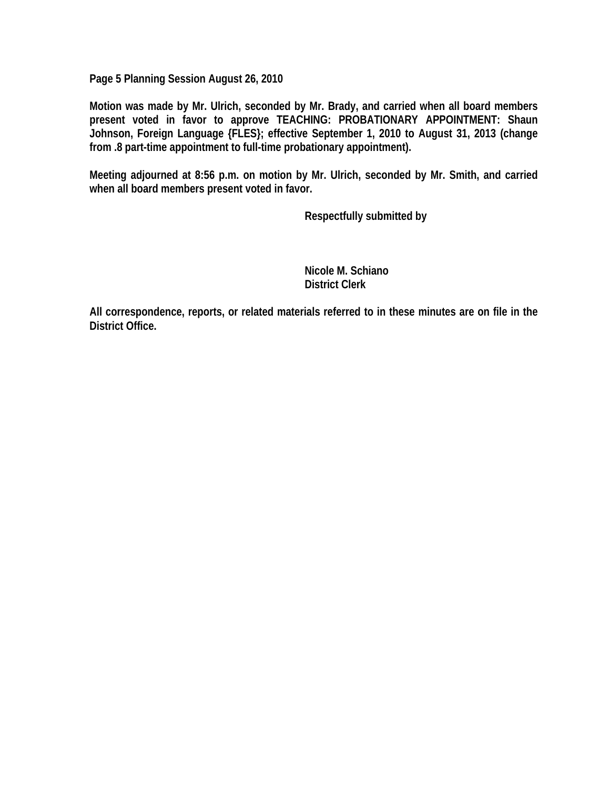**Page 5 Planning Session August 26, 2010** 

**Motion was made by Mr. Ulrich, seconded by Mr. Brady, and carried when all board members present voted in favor to approve TEACHING: PROBATIONARY APPOINTMENT: Shaun Johnson, Foreign Language {FLES}; effective September 1, 2010 to August 31, 2013 (change from .8 part-time appointment to full-time probationary appointment).** 

**Meeting adjourned at 8:56 p.m. on motion by Mr. Ulrich, seconded by Mr. Smith, and carried when all board members present voted in favor.** 

 **Respectfully submitted by** 

 **Nicole M. Schiano District Clerk** 

**All correspondence, reports, or related materials referred to in these minutes are on file in the District Office.**